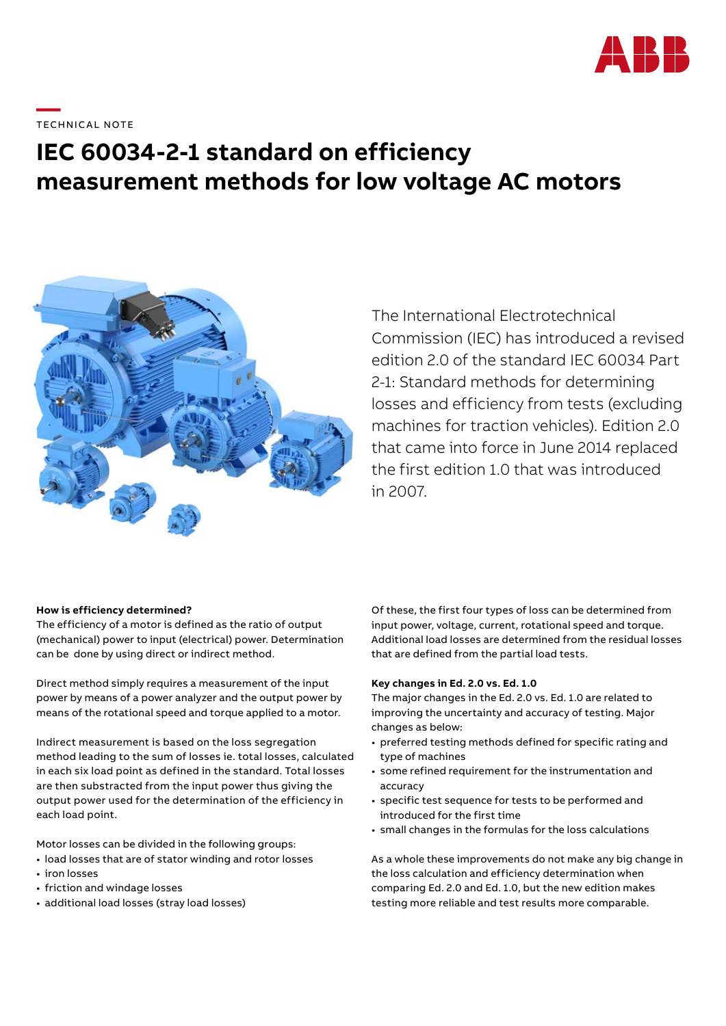

# **IEC 60034-2-1 standard on efficiency measurement methods for low voltage AC motors**



The International Electrotechnical Commission (IEC) has introduced a revised edition 2.0 of the standard IEC 60034 Part 2-1: Standard methods for determining losses and efficiency from tests (excluding machines for traction vehicles). Edition 2.0 that came into force in June 2014 replaced the first edition 1.0 that was introduced in 2007.

# **How is efficiency determined?**

The efficiency of a motor is defined as the ratio of output (mechanical) power to input (electrical) power. Determination can be done by using direct or indirect method.

Direct method simply requires a measurement of the input power by means of a power analyzer and the output power by means of the rotational speed and torque applied to a motor.

Indirect measurement is based on the loss segregation method leading to the sum of losses ie. total losses, calculated in each six load point as defined in the standard. Total losses are then substracted from the input power thus giving the output power used for the determination of the efficiency in each load point.

Motor losses can be divided in the following groups:

- load losses that are of stator winding and rotor losses
- iron losses
- friction and windage losses
- additional load losses (stray load losses)

Of these, the first four types of loss can be determined from input power, voltage, current, rotational speed and torque. Additional load losses are determined from the residual losses that are defined from the partial load tests.

#### **Key changes in Ed. 2.0 vs. Ed. 1.0**

The major changes in the Ed. 2.0 vs. Ed. 1.0 are related to improving the uncertainty and accuracy of testing. Major changes as below:

- preferred testing methods defined for specific rating and type of machines
- some refined requirement for the instrumentation and accuracy
- specific test sequence for tests to be performed and introduced for the first time
- small changes in the formulas for the loss calculations

As a whole these improvements do not make any big change in the loss calculation and efficiency determination when comparing Ed. 2.0 and Ed. 1.0, but the new edition makes testing more reliable and test results more comparable.